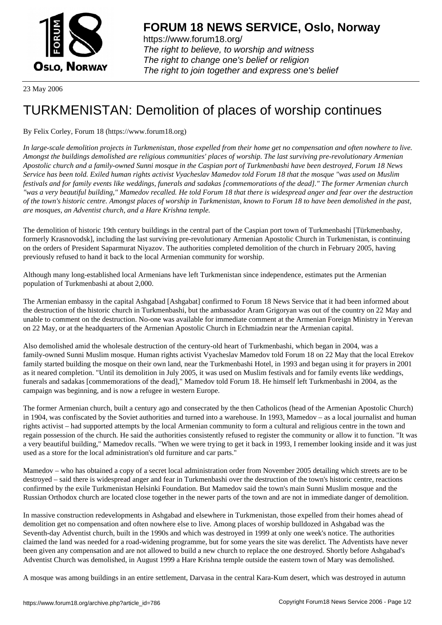

https://www.forum18.org/ The right to believe, to worship and witness The right to change one's belief or religion [The right to join together a](https://www.forum18.org/)nd express one's belief

23 May 2006

## [TURKMENISTA](https://www.forum18.org)N: Demolition of places of worship continues

## By Felix Corley, Forum 18 (https://www.forum18.org)

*In large-scale demolition projects in Turkmenistan, those expelled from their home get no compensation and often nowhere to live. Amongst the buildings demolished are religious communities' places of worship. The last surviving pre-revolutionary Armenian Apostolic church and a family-owned Sunni mosque in the Caspian port of Turkmenbashi have been destroyed, Forum 18 News Service has been told. Exiled human rights activist Vyacheslav Mamedov told Forum 18 that the mosque "was used on Muslim festivals and for family events like weddings, funerals and sadakas [commemorations of the dead]." The former Armenian church "was a very beautiful building," Mamedov recalled. He told Forum 18 that there is widespread anger and fear over the destruction of the town's historic centre. Amongst places of worship in Turkmenistan, known to Forum 18 to have been demolished in the past, are mosques, an Adventist church, and a Hare Krishna temple.*

The demolition of historic 19th century buildings in the central part of the Caspian port town of Turkmenbashi [Türkmenbashy, formerly Krasnovodsk], including the last surviving pre-revolutionary Armenian Apostolic Church in Turkmenistan, is continuing on the orders of President Saparmurat Niyazov. The authorities completed demolition of the church in February 2005, having previously refused to hand it back to the local Armenian community for worship.

Although many long-established local Armenians have left Turkmenistan since independence, estimates put the Armenian population of Turkmenbashi at about 2,000.

The Armenian embassy in the capital Ashgabad [Ashgabat] confirmed to Forum 18 News Service that it had been informed about the destruction of the historic church in Turkmenbashi, but the ambassador Aram Grigoryan was out of the country on 22 May and unable to comment on the destruction. No-one was available for immediate comment at the Armenian Foreign Ministry in Yerevan on 22 May, or at the headquarters of the Armenian Apostolic Church in Echmiadzin near the Armenian capital.

Also demolished amid the wholesale destruction of the century-old heart of Turkmenbashi, which began in 2004, was a family-owned Sunni Muslim mosque. Human rights activist Vyacheslav Mamedov told Forum 18 on 22 May that the local Etrekov family started building the mosque on their own land, near the Turkmenbashi Hotel, in 1993 and began using it for prayers in 2001 as it neared completion. "Until its demolition in July 2005, it was used on Muslim festivals and for family events like weddings, funerals and sadakas [commemorations of the dead]," Mamedov told Forum 18. He himself left Turkmenbashi in 2004, as the campaign was beginning, and is now a refugee in western Europe.

The former Armenian church, built a century ago and consecrated by the then Catholicos (head of the Armenian Apostolic Church) in 1904, was confiscated by the Soviet authorities and turned into a warehouse. In 1993, Mamedov – as a local journalist and human rights activist – had supported attempts by the local Armenian community to form a cultural and religious centre in the town and regain possession of the church. He said the authorities consistently refused to register the community or allow it to function. "It was a very beautiful building," Mamedov recalls. "When we were trying to get it back in 1993, I remember looking inside and it was just used as a store for the local administration's old furniture and car parts."

Mamedov – who has obtained a copy of a secret local administration order from November 2005 detailing which streets are to be destroyed – said there is widespread anger and fear in Turkmenbashi over the destruction of the town's historic centre, reactions confirmed by the exile Turkmenistan Helsinki Foundation. But Mamedov said the town's main Sunni Muslim mosque and the Russian Orthodox church are located close together in the newer parts of the town and are not in immediate danger of demolition.

In massive construction redevelopments in Ashgabad and elsewhere in Turkmenistan, those expelled from their homes ahead of demolition get no compensation and often nowhere else to live. Among places of worship bulldozed in Ashgabad was the Seventh-day Adventist church, built in the 1990s and which was destroyed in 1999 at only one week's notice. The authorities claimed the land was needed for a road-widening programme, but for some years the site was derelict. The Adventists have never been given any compensation and are not allowed to build a new church to replace the one destroyed. Shortly before Ashgabad's Adventist Church was demolished, in August 1999 a Hare Krishna temple outside the eastern town of Mary was demolished.

A mosque was among buildings in an entire settlement, Darvasa in the central Kara-Kum desert, which was destroyed in autumn